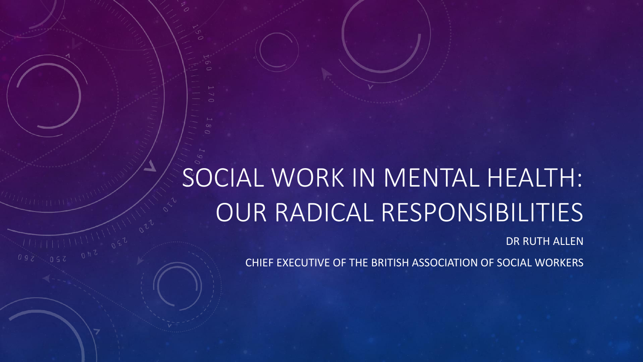# SOCIAL WORK IN MENTAL HEALTH: OUR RADICAL RESPONSIBILITIES

DR RUTH ALLEN

CHIEF EXECUTIVE OF THE BRITISH ASSOCIATION OF SOCIAL WORKERS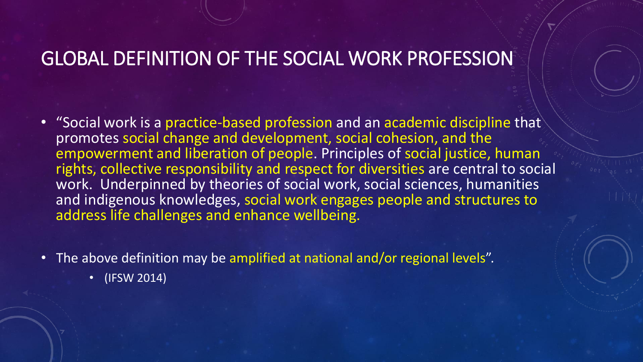#### GLOBAL DEFINITION OF THE SOCIAL WORK PROFESSION

• "Social work is a practice-based profession and an academic discipline that promotes social change and development, social cohesion, and the empowerment and liberation of people. Principles of social justice, human rights, collective responsibility and respect for diversities are central to social work. Underpinned by theories of social work, social sciences, humanities and indigenous knowledges, social work engages people and structures to address life challenges and enhance wellbeing.

• The above definition may be amplified at national and/or regional levels".

• (IFSW 2014)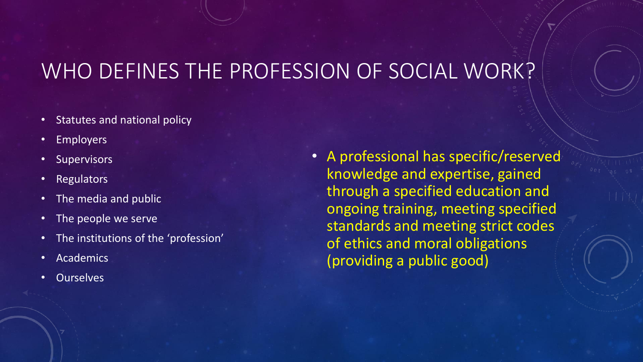#### WHO DEFINES THE PROFESSION OF SOCIAL WORK?

- Statutes and national policy
- Employers
- **Supervisors**
- **Regulators**
- The media and public
- The people we serve
- The institutions of the 'profession'
- Academics
- **Ourselves**

• A professional has specific/reserved knowledge and expertise, gained through a specified education and ongoing training, meeting specified standards and meeting strict codes of ethics and moral obligations (providing a public good)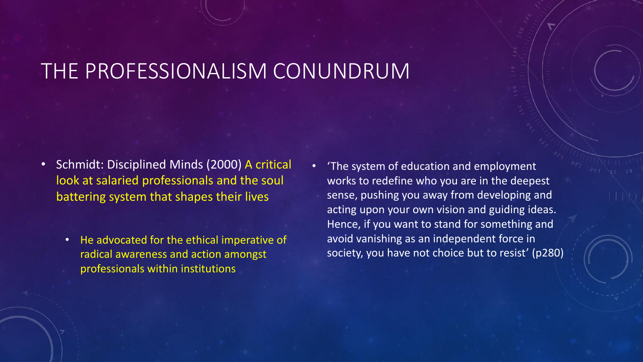#### THE PROFESSIONALISM CONUNDRUM

- Schmidt: Disciplined Minds (2000) A critical look at salaried professionals and the soul battering system that shapes their lives
	- He advocated for the ethical imperative of radical awareness and action amongst professionals within institutions
- 'The system of education and employment works to redefine who you are in the deepest sense, pushing you away from developing and acting upon your own vision and guiding ideas. Hence, if you want to stand for something and avoid vanishing as an independent force in society, you have not choice but to resist' (p280)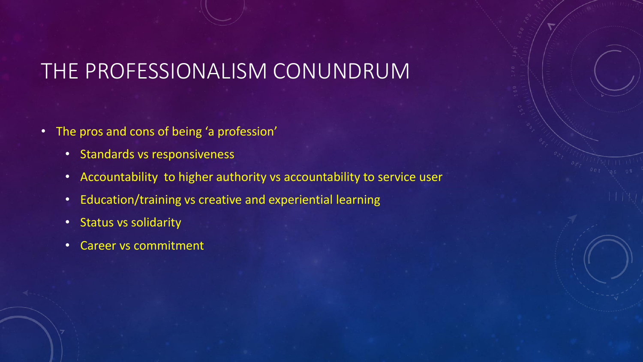#### THE PROFESSIONALISM CONUNDRUM

- The pros and cons of being 'a profession'
	- Standards vs responsiveness
	- Accountability to higher authority vs accountability to service user
	- Education/training vs creative and experiential learning
	- Status vs solidarity
	- Career vs commitment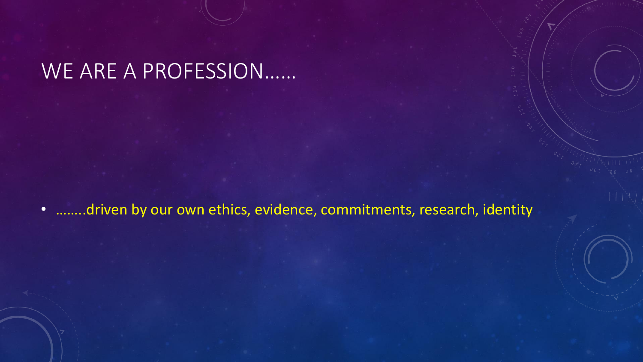#### WE ARE A PROFESSION……

• ……..driven by our own ethics, evidence, commitments, research, identity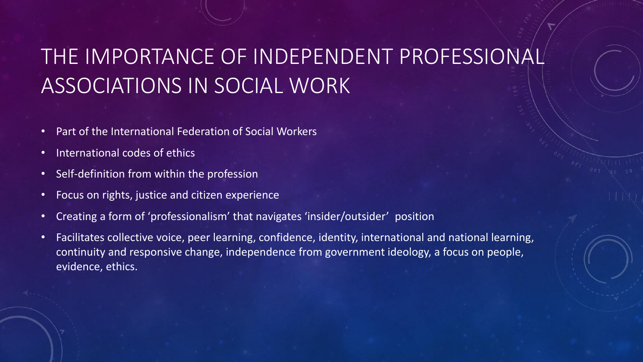### THE IMPORTANCE OF INDEPENDENT PROFESSIONAL ASSOCIATIONS IN SOCIAL WORK

- Part of the International Federation of Social Workers
- International codes of ethics
- Self-definition from within the profession
- Focus on rights, justice and citizen experience
- Creating a form of 'professionalism' that navigates 'insider/outsider' position
- Facilitates collective voice, peer learning, confidence, identity, international and national learning, continuity and responsive change, independence from government ideology, a focus on people, evidence, ethics.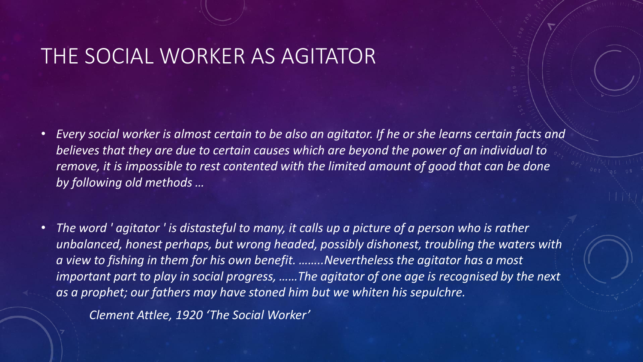#### THE SOCIAL WORKER AS AGITATOR

- *Every social worker is almost certain to be also an agitator. If he or she learns certain facts and believes that they are due to certain causes which are beyond the power of an individual to remove, it is impossible to rest contented with the limited amount of good that can be done by following old methods …*
- *The word ' agitator ' is distasteful to many, it calls up a picture of a person who is rather unbalanced, honest perhaps, but wrong headed, possibly dishonest, troubling the waters with a view to fishing in them for his own benefit. ……..Nevertheless the agitator has a most important part to play in social progress, ……The agitator of one age is recognised by the next as a prophet; our fathers may have stoned him but we whiten his sepulchre.*

*Clement Attlee, 1920 'The Social Worker'*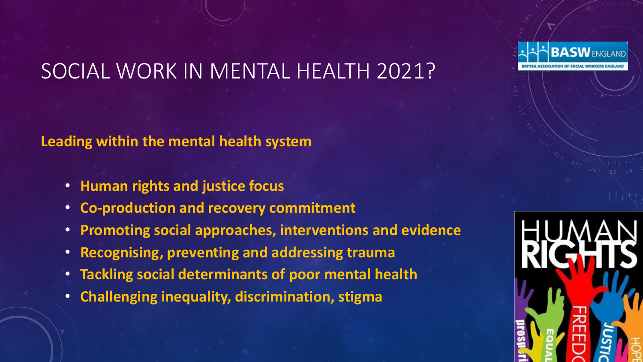

### SOCIAL WORK IN MENTAL HEALTH 2021?

**Leading within the mental health system**

- **Human rights and justice focus**
- **Co-production and recovery commitment**
- **Promoting social approaches, interventions and evidence**
- **Recognising, preventing and addressing trauma**
- **Tackling social determinants of poor mental health**
- **Challenging inequality, discrimination, stigma**

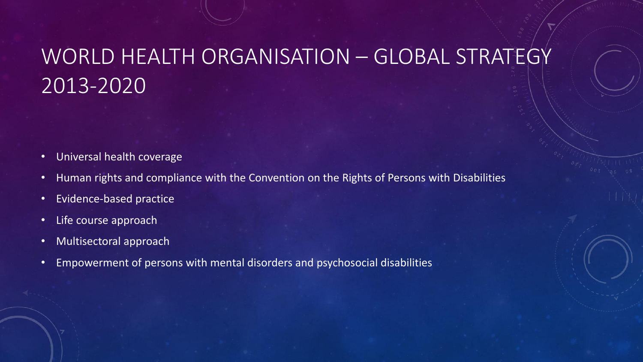### WORLD HEALTH ORGANISATION – GLOBAL STRATEGY 2013-2020

- Universal health coverage
- Human rights and compliance with the Convention on the Rights of Persons with Disabilities
- Evidence-based practice
- Life course approach
- Multisectoral approach
- Empowerment of persons with mental disorders and psychosocial disabilities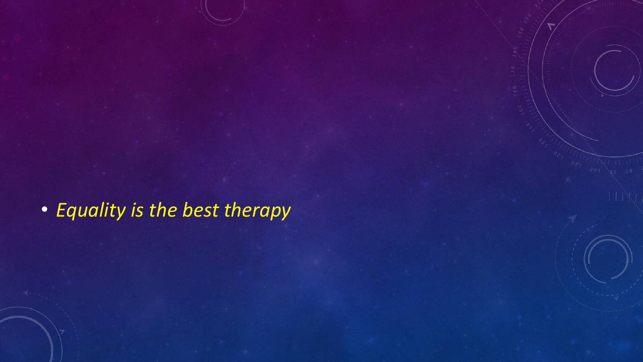• *Equality is the best therapy*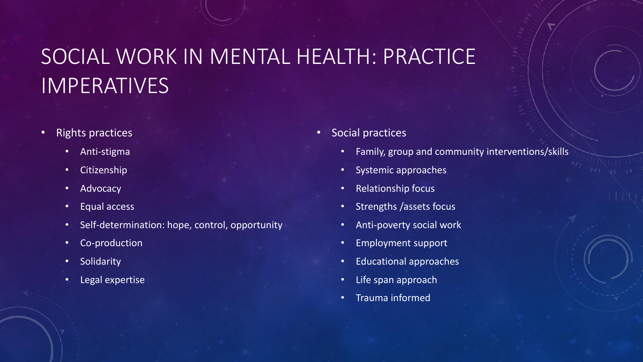### SOCIAL WORK IN MENTAL HEALTH: PRACTICE IMPERATIVES

- Rights practices
	- Anti-stigma
	- Citizenship
	- Advocacy
	- Equal access
	- Self-determination: hope, control, opportunity
	- Co-production
	- Solidarity
	- Legal expertise
- Social practices
	- Family, group and community interventions/skills
	- Systemic approaches
	- Relationship focus
	- Strengths /assets focus
	- Anti-poverty social work
	- Employment support
	- Educational approaches
	- Life span approach
	- Trauma informed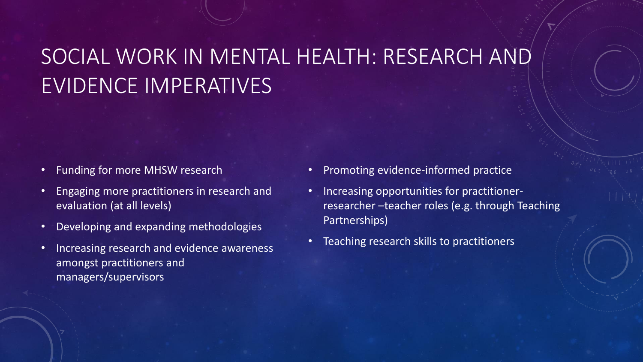### SOCIAL WORK IN MENTAL HEALTH: RESEARCH AND EVIDENCE IMPERATIVES

- Funding for more MHSW research
- Engaging more practitioners in research and evaluation (at all levels)
- Developing and expanding methodologies
- Increasing research and evidence awareness amongst practitioners and managers/supervisors
- Promoting evidence-informed practice
- Increasing opportunities for practitionerresearcher –teacher roles (e.g. through Teaching Partnerships)
- Teaching research skills to practitioners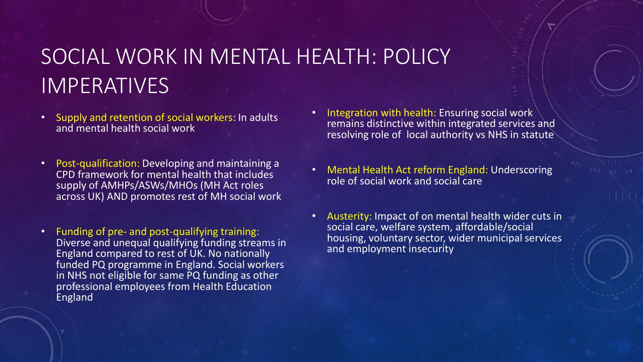### SOCIAL WORK IN MENTAL HEALTH: POLICY IMPERATIVES

- Supply and retention of social workers: In adults and mental health social work
- Post-qualification: Developing and maintaining a CPD framework for mental health that includes supply of AMHPs/ASWs/MHOs (MH Act roles across UK) AND promotes rest of MH social work
- Funding of pre- and post-qualifying training: Diverse and unequal qualifying funding streams in England compared to rest of UK. No nationally funded PQ programme in England. Social workers in NHS not eligible for same PQ funding as other professional employees from Health Education England
- Integration with health: Ensuring social work remains distinctive within integrated services and resolving role of local authority vs NHS in statute
- Mental Health Act reform England: Underscoring role of social work and social care
- Austerity: Impact of on mental health wider cuts in social care, welfare system, affordable/social housing, voluntary sector, wider municipal services and employment insecurity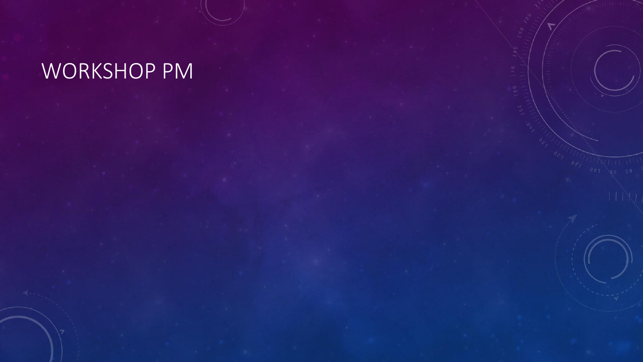## WORKSHOP PM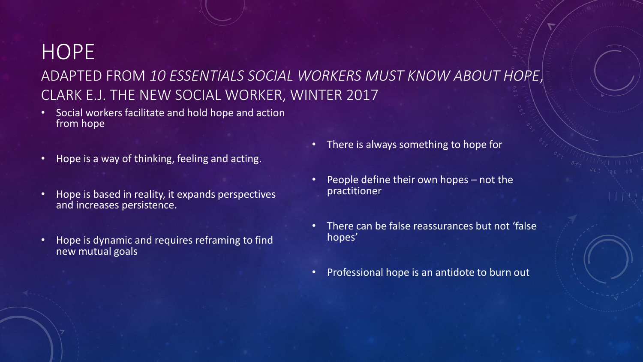#### **HOPE** ADAPTED FROM *10 ESSENTIALS SOCIAL WORKERS MUST KNOW ABOUT HOPE*, CLARK E.J. THE NEW SOCIAL WORKER, WINTER 2017

- Social workers facilitate and hold hope and action from hope
- Hope is a way of thinking, feeling and acting.
- Hope is based in reality, it expands perspectives and increases persistence.
- Hope is dynamic and requires reframing to find new mutual goals
- There is always something to hope for
- People define their own hopes not the practitioner
- There can be false reassurances but not 'false hopes'
- Professional hope is an antidote to burn out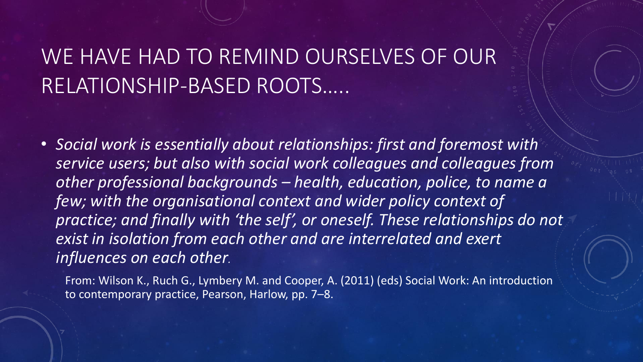### WE HAVE HAD TO REMIND OURSELVES OF OUR RELATIONSHIP-BASED ROOTS…..

• *Social work is essentially about relationships: first and foremost with service users; but also with social work colleagues and colleagues from other professional backgrounds – health, education, police, to name a*  few; with the organisational context and wider policy context of *practice; and finally with 'the self', or oneself. These relationships do not exist in isolation from each other and are interrelated and exert influences on each other.*

From: Wilson K., Ruch G., Lymbery M. and Cooper, A. (2011) (eds) Social Work: An introduction to contemporary practice, Pearson, Harlow, pp. 7–8.